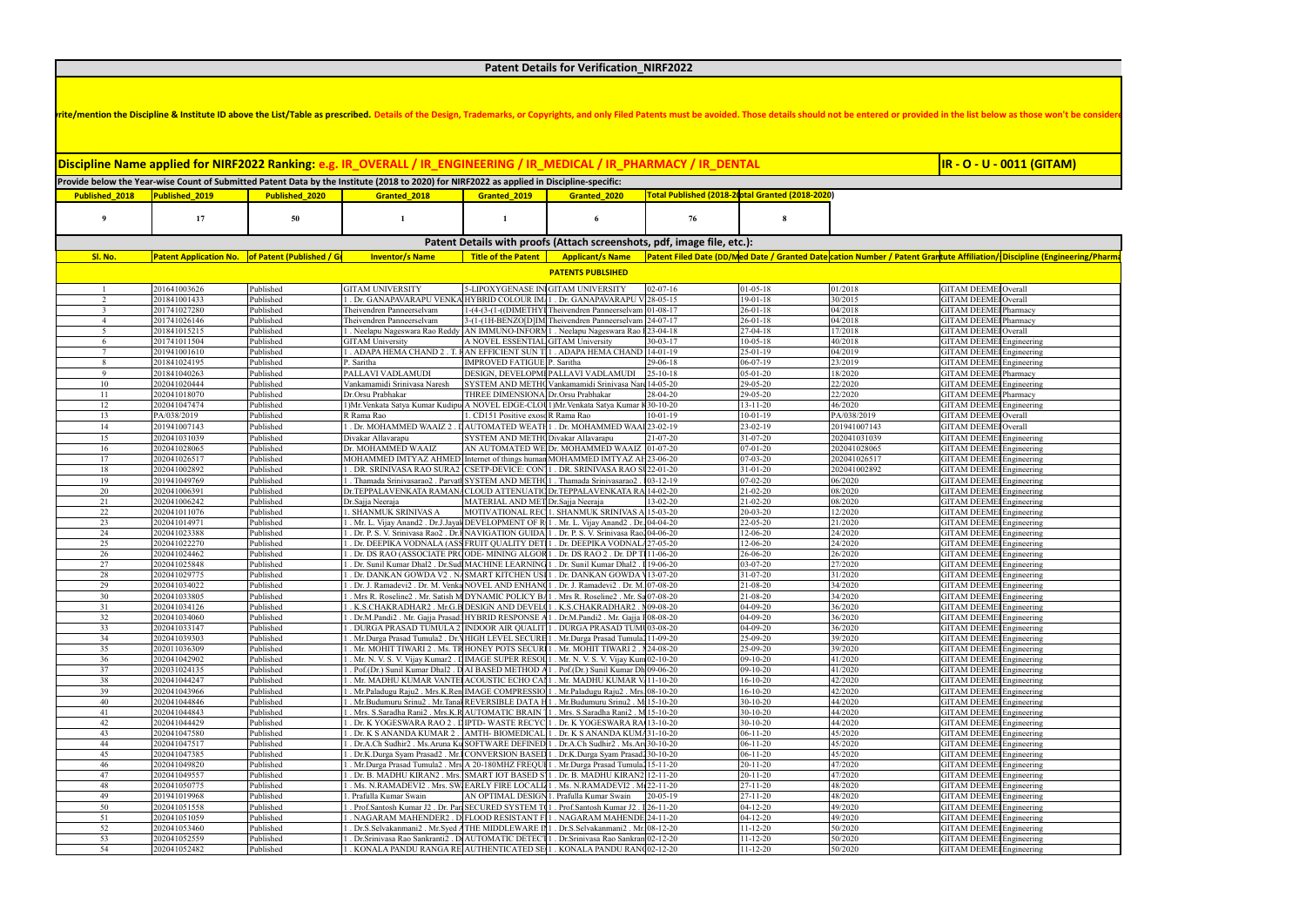| ite/mention the Discipline & Institute ID above the List/Table as prescribed. Details of the Design, Trademarks, or Copyrights, and only Filed Patents must be avoided. Those details should not be entered or provided in the<br>iscipline Name applied for NIRF2022 Ranking: e.g. IR_OVERALL / IR_ENGINEERING / IR_MEDICAL / IR_PHARMACY / IR_DENTAL<br>Provide below the Year-wise Count of Submitted Patent Data by the Institute (2018 to 2020) for NIRF2022 as applied in Discipline-specific:<br>Published 2020 <b>Canage 1988 Contract 2018</b> Granted 2019 Granted 2020 Total Published (2018-20tal Granted (2018-2020)<br>Published 2018 Published 2019<br>Patent Details with proofs (Attach screenshots, pdf, image file, etc.):<br>Patent Application No. of Patent (Published / Gradition of the Multished / Gradition / Shame   Title of the Patent   Applicant/s Name   Patent Filed Date (DD/Med Date / Granted Date cation Number / Patent Grantute Affiliat<br>Sl. No.<br><b>PATENTS PUBLSIHED</b><br>ITAM UNIVERSIT<br>1641003626<br>ITAM DEEMEI Over<br>JPOXYGENASE INIG<br>HTAM UNIVERS!<br>. Dr. GANAPAVARAPU VENKA HYBRID COLOUR IMA 1 . Dr. GANAPAVARAPU V 28-05-1<br>TAM DEEMEI Overal<br>1841001433<br>1-(4-(3-(1-((DIMETHYI Theivendren Panneerselvam 01-08-17<br>eivendren Panneerselvam<br><b>GITAM DEEMEI Pharmacy</b><br>26-01-18<br>201741027280<br>ıblished-<br>04/2018<br>$\frac{14.074 \times 0.016 \times 10^{-14}}{14.114 \times 0.0120}$ MTheivendren Panneerselvam 24-07-17<br>eivendren Panneerselvam<br>6-01-11<br><b>HTAM DEEMEI Pharmac</b><br>01741026146<br>. Neelapu Nageswara Rao Reddy AN IMMUNO-INFORM 1 . Neelapu Nageswara Rao I 23-04-18<br>GITAM DEEMEI Overall<br>201841015215<br>$-04-18$<br>$\sim$ 5<br>7/2018<br>AM University<br>174101150<br>SENTIAL GITAM University<br>. ADAPA HEMA CHAND 2.<br>EFFICIENT SUN TI1<br>JITAM DEEMEI Engineering<br>. ADAPA HEMA CHAND 14-01-19<br>1941001610<br>GITAM DEEMEI Engineering<br>01841024195<br>MPROVED FATIGUE   P. Saritha<br>29-06-18<br>Saritha<br><b>HTAM DEEMEI Pharmacy</b><br>ALLAVI VADLAMUDI<br>DESIGN, DEVELOPMI PALLAVI VADLAMUDI<br>01841040263<br>5-10-18<br>YSTEM AND METHO Vankamamidi Srinivasa Nard 14-05-20<br><b>GITAM DEEMEI Engineering</b><br>02041020444<br>ankamamidi Srinivasa Naresh<br><b>ITAM DEEMEI Pharmacy</b><br>Orsu Prabhakar<br>THREE DIMENSIONAL Dr.Orsu Prabhakar<br>2041018070<br>  Mr. Venkata Satya Kumar Kudipu A NOVEL EDGE-CLOU 1) Mr. Venkata Satya Kumar K30-<br><b>ITAM DEEMEI</b> Engineering<br>2041047474<br>TAM DEEMEI Ov<br>1 Positive exoscR Rama Rao<br>038/2019<br>ama Rao<br>AUTOMATED WEATH1 . Dr. MOHAMMED WAAI23-02-19<br>ITAM DEEMEI Overall<br>01941007143<br>. Dr. MOHAMMED WAAIZ 2<br>01941007143<br>14<br>ıhlished<br>.೧೧-19 |                                                             |  |  |  |  |  |
|------------------------------------------------------------------------------------------------------------------------------------------------------------------------------------------------------------------------------------------------------------------------------------------------------------------------------------------------------------------------------------------------------------------------------------------------------------------------------------------------------------------------------------------------------------------------------------------------------------------------------------------------------------------------------------------------------------------------------------------------------------------------------------------------------------------------------------------------------------------------------------------------------------------------------------------------------------------------------------------------------------------------------------------------------------------------------------------------------------------------------------------------------------------------------------------------------------------------------------------------------------------------------------------------------------------------------------------------------------------------------------------------------------------------------------------------------------------------------------------------------------------------------------------------------------------------------------------------------------------------------------------------------------------------------------------------------------------------------------------------------------------------------------------------------------------------------------------------------------------------------------------------------------------------------------------------------------------------------------------------------------------------------------------------------------------------------------------------------------------------------------------------------------------------------------------------------------------------------------------------------------------------------------------------------------------------------------------------------------------------------------------------------------------------------------------------------------------------------------------------------------------------------------------------------------------------------------------------------------------------------------------------------------------------------------------------------------------------------------------------------------------------------------------------------|-------------------------------------------------------------|--|--|--|--|--|
|                                                                                                                                                                                                                                                                                                                                                                                                                                                                                                                                                                                                                                                                                                                                                                                                                                                                                                                                                                                                                                                                                                                                                                                                                                                                                                                                                                                                                                                                                                                                                                                                                                                                                                                                                                                                                                                                                                                                                                                                                                                                                                                                                                                                                                                                                                                                                                                                                                                                                                                                                                                                                                                                                                                                                                                                      |                                                             |  |  |  |  |  |
|                                                                                                                                                                                                                                                                                                                                                                                                                                                                                                                                                                                                                                                                                                                                                                                                                                                                                                                                                                                                                                                                                                                                                                                                                                                                                                                                                                                                                                                                                                                                                                                                                                                                                                                                                                                                                                                                                                                                                                                                                                                                                                                                                                                                                                                                                                                                                                                                                                                                                                                                                                                                                                                                                                                                                                                                      | <mark>IR - O - U - 0011 (GITAM)</mark>                      |  |  |  |  |  |
|                                                                                                                                                                                                                                                                                                                                                                                                                                                                                                                                                                                                                                                                                                                                                                                                                                                                                                                                                                                                                                                                                                                                                                                                                                                                                                                                                                                                                                                                                                                                                                                                                                                                                                                                                                                                                                                                                                                                                                                                                                                                                                                                                                                                                                                                                                                                                                                                                                                                                                                                                                                                                                                                                                                                                                                                      |                                                             |  |  |  |  |  |
|                                                                                                                                                                                                                                                                                                                                                                                                                                                                                                                                                                                                                                                                                                                                                                                                                                                                                                                                                                                                                                                                                                                                                                                                                                                                                                                                                                                                                                                                                                                                                                                                                                                                                                                                                                                                                                                                                                                                                                                                                                                                                                                                                                                                                                                                                                                                                                                                                                                                                                                                                                                                                                                                                                                                                                                                      |                                                             |  |  |  |  |  |
|                                                                                                                                                                                                                                                                                                                                                                                                                                                                                                                                                                                                                                                                                                                                                                                                                                                                                                                                                                                                                                                                                                                                                                                                                                                                                                                                                                                                                                                                                                                                                                                                                                                                                                                                                                                                                                                                                                                                                                                                                                                                                                                                                                                                                                                                                                                                                                                                                                                                                                                                                                                                                                                                                                                                                                                                      |                                                             |  |  |  |  |  |
|                                                                                                                                                                                                                                                                                                                                                                                                                                                                                                                                                                                                                                                                                                                                                                                                                                                                                                                                                                                                                                                                                                                                                                                                                                                                                                                                                                                                                                                                                                                                                                                                                                                                                                                                                                                                                                                                                                                                                                                                                                                                                                                                                                                                                                                                                                                                                                                                                                                                                                                                                                                                                                                                                                                                                                                                      |                                                             |  |  |  |  |  |
|                                                                                                                                                                                                                                                                                                                                                                                                                                                                                                                                                                                                                                                                                                                                                                                                                                                                                                                                                                                                                                                                                                                                                                                                                                                                                                                                                                                                                                                                                                                                                                                                                                                                                                                                                                                                                                                                                                                                                                                                                                                                                                                                                                                                                                                                                                                                                                                                                                                                                                                                                                                                                                                                                                                                                                                                      |                                                             |  |  |  |  |  |
|                                                                                                                                                                                                                                                                                                                                                                                                                                                                                                                                                                                                                                                                                                                                                                                                                                                                                                                                                                                                                                                                                                                                                                                                                                                                                                                                                                                                                                                                                                                                                                                                                                                                                                                                                                                                                                                                                                                                                                                                                                                                                                                                                                                                                                                                                                                                                                                                                                                                                                                                                                                                                                                                                                                                                                                                      |                                                             |  |  |  |  |  |
|                                                                                                                                                                                                                                                                                                                                                                                                                                                                                                                                                                                                                                                                                                                                                                                                                                                                                                                                                                                                                                                                                                                                                                                                                                                                                                                                                                                                                                                                                                                                                                                                                                                                                                                                                                                                                                                                                                                                                                                                                                                                                                                                                                                                                                                                                                                                                                                                                                                                                                                                                                                                                                                                                                                                                                                                      |                                                             |  |  |  |  |  |
|                                                                                                                                                                                                                                                                                                                                                                                                                                                                                                                                                                                                                                                                                                                                                                                                                                                                                                                                                                                                                                                                                                                                                                                                                                                                                                                                                                                                                                                                                                                                                                                                                                                                                                                                                                                                                                                                                                                                                                                                                                                                                                                                                                                                                                                                                                                                                                                                                                                                                                                                                                                                                                                                                                                                                                                                      |                                                             |  |  |  |  |  |
|                                                                                                                                                                                                                                                                                                                                                                                                                                                                                                                                                                                                                                                                                                                                                                                                                                                                                                                                                                                                                                                                                                                                                                                                                                                                                                                                                                                                                                                                                                                                                                                                                                                                                                                                                                                                                                                                                                                                                                                                                                                                                                                                                                                                                                                                                                                                                                                                                                                                                                                                                                                                                                                                                                                                                                                                      |                                                             |  |  |  |  |  |
|                                                                                                                                                                                                                                                                                                                                                                                                                                                                                                                                                                                                                                                                                                                                                                                                                                                                                                                                                                                                                                                                                                                                                                                                                                                                                                                                                                                                                                                                                                                                                                                                                                                                                                                                                                                                                                                                                                                                                                                                                                                                                                                                                                                                                                                                                                                                                                                                                                                                                                                                                                                                                                                                                                                                                                                                      |                                                             |  |  |  |  |  |
|                                                                                                                                                                                                                                                                                                                                                                                                                                                                                                                                                                                                                                                                                                                                                                                                                                                                                                                                                                                                                                                                                                                                                                                                                                                                                                                                                                                                                                                                                                                                                                                                                                                                                                                                                                                                                                                                                                                                                                                                                                                                                                                                                                                                                                                                                                                                                                                                                                                                                                                                                                                                                                                                                                                                                                                                      | TAM DEEMEI Engineering                                      |  |  |  |  |  |
|                                                                                                                                                                                                                                                                                                                                                                                                                                                                                                                                                                                                                                                                                                                                                                                                                                                                                                                                                                                                                                                                                                                                                                                                                                                                                                                                                                                                                                                                                                                                                                                                                                                                                                                                                                                                                                                                                                                                                                                                                                                                                                                                                                                                                                                                                                                                                                                                                                                                                                                                                                                                                                                                                                                                                                                                      |                                                             |  |  |  |  |  |
|                                                                                                                                                                                                                                                                                                                                                                                                                                                                                                                                                                                                                                                                                                                                                                                                                                                                                                                                                                                                                                                                                                                                                                                                                                                                                                                                                                                                                                                                                                                                                                                                                                                                                                                                                                                                                                                                                                                                                                                                                                                                                                                                                                                                                                                                                                                                                                                                                                                                                                                                                                                                                                                                                                                                                                                                      |                                                             |  |  |  |  |  |
|                                                                                                                                                                                                                                                                                                                                                                                                                                                                                                                                                                                                                                                                                                                                                                                                                                                                                                                                                                                                                                                                                                                                                                                                                                                                                                                                                                                                                                                                                                                                                                                                                                                                                                                                                                                                                                                                                                                                                                                                                                                                                                                                                                                                                                                                                                                                                                                                                                                                                                                                                                                                                                                                                                                                                                                                      |                                                             |  |  |  |  |  |
|                                                                                                                                                                                                                                                                                                                                                                                                                                                                                                                                                                                                                                                                                                                                                                                                                                                                                                                                                                                                                                                                                                                                                                                                                                                                                                                                                                                                                                                                                                                                                                                                                                                                                                                                                                                                                                                                                                                                                                                                                                                                                                                                                                                                                                                                                                                                                                                                                                                                                                                                                                                                                                                                                                                                                                                                      |                                                             |  |  |  |  |  |
|                                                                                                                                                                                                                                                                                                                                                                                                                                                                                                                                                                                                                                                                                                                                                                                                                                                                                                                                                                                                                                                                                                                                                                                                                                                                                                                                                                                                                                                                                                                                                                                                                                                                                                                                                                                                                                                                                                                                                                                                                                                                                                                                                                                                                                                                                                                                                                                                                                                                                                                                                                                                                                                                                                                                                                                                      |                                                             |  |  |  |  |  |
|                                                                                                                                                                                                                                                                                                                                                                                                                                                                                                                                                                                                                                                                                                                                                                                                                                                                                                                                                                                                                                                                                                                                                                                                                                                                                                                                                                                                                                                                                                                                                                                                                                                                                                                                                                                                                                                                                                                                                                                                                                                                                                                                                                                                                                                                                                                                                                                                                                                                                                                                                                                                                                                                                                                                                                                                      |                                                             |  |  |  |  |  |
| STEM AND METHODivakar Allavarapu<br>204103103<br>ıvakar Allavarapu                                                                                                                                                                                                                                                                                                                                                                                                                                                                                                                                                                                                                                                                                                                                                                                                                                                                                                                                                                                                                                                                                                                                                                                                                                                                                                                                                                                                                                                                                                                                                                                                                                                                                                                                                                                                                                                                                                                                                                                                                                                                                                                                                                                                                                                                                                                                                                                                                                                                                                                                                                                                                                                                                                                                   | JITAM DEEMEI Engineering                                    |  |  |  |  |  |
| 02041028065<br>N AUTOMATED WE Dr. MOHAMMED WAAI<br>. MOHAMMED WAAIZ<br>- 16                                                                                                                                                                                                                                                                                                                                                                                                                                                                                                                                                                                                                                                                                                                                                                                                                                                                                                                                                                                                                                                                                                                                                                                                                                                                                                                                                                                                                                                                                                                                                                                                                                                                                                                                                                                                                                                                                                                                                                                                                                                                                                                                                                                                                                                                                                                                                                                                                                                                                                                                                                                                                                                                                                                          | ITAM DEEMEI Engineering                                     |  |  |  |  |  |
| MOHAMMED IMTYAZ AHMED Internet of things human MOHAMMED IMTYAZ AH23-06-20<br>2041026517<br>2041026517<br>. DR. SRINIVASA RAO SURA2 CSETP-DEVICE: CONT1 . DR. SRINIVASA RAO SU22-01-20<br>2041002892<br>02041002892<br>$\frac{18}{18}$                                                                                                                                                                                                                                                                                                                                                                                                                                                                                                                                                                                                                                                                                                                                                                                                                                                                                                                                                                                                                                                                                                                                                                                                                                                                                                                                                                                                                                                                                                                                                                                                                                                                                                                                                                                                                                                                                                                                                                                                                                                                                                                                                                                                                                                                                                                                                                                                                                                                                                                                                                | JITAM DEEMEI Engineering                                    |  |  |  |  |  |
| . Thamada Srinivasarao2 . Parvatl SYSTEM AND METHO1<br>201941049769<br>19<br>. Thamada Srinivasarao<br>06/2020                                                                                                                                                                                                                                                                                                                                                                                                                                                                                                                                                                                                                                                                                                                                                                                                                                                                                                                                                                                                                                                                                                                                                                                                                                                                                                                                                                                                                                                                                                                                                                                                                                                                                                                                                                                                                                                                                                                                                                                                                                                                                                                                                                                                                                                                                                                                                                                                                                                                                                                                                                                                                                                                                       | JITAM DEEMEI Engineering<br>GITAM DEEMEI Engineering        |  |  |  |  |  |
| 0. TEPPALAVENKATA RAMANACLOUD ATTENUATIO Dr. TEPPALAVENKATA RA 14-02-21<br>2041006391                                                                                                                                                                                                                                                                                                                                                                                                                                                                                                                                                                                                                                                                                                                                                                                                                                                                                                                                                                                                                                                                                                                                                                                                                                                                                                                                                                                                                                                                                                                                                                                                                                                                                                                                                                                                                                                                                                                                                                                                                                                                                                                                                                                                                                                                                                                                                                                                                                                                                                                                                                                                                                                                                                                | GITAM DEEMEL Engineering                                    |  |  |  |  |  |
| ATERIAL AND MET Dr. Sajja Neeraja<br>2041006242<br>r.Sajja Neeraja                                                                                                                                                                                                                                                                                                                                                                                                                                                                                                                                                                                                                                                                                                                                                                                                                                                                                                                                                                                                                                                                                                                                                                                                                                                                                                                                                                                                                                                                                                                                                                                                                                                                                                                                                                                                                                                                                                                                                                                                                                                                                                                                                                                                                                                                                                                                                                                                                                                                                                                                                                                                                                                                                                                                   | <b>ITAM DEEMEI Engineering</b>                              |  |  |  |  |  |
| . SHANMUK SRINIVAS A<br>OTIVATIONAL REC 1. SHANMUK SRINIVAS A 15-03-20<br>/2041011076<br>Mr. L. Vijay Anand2 . Dr.J.Jayak DEVELOPMENT OF R 1 . Mr. L. Vijay Anand2 . Dr. 04-04-20<br>Published<br>02041014971<br>1/2020 -                                                                                                                                                                                                                                                                                                                                                                                                                                                                                                                                                                                                                                                                                                                                                                                                                                                                                                                                                                                                                                                                                                                                                                                                                                                                                                                                                                                                                                                                                                                                                                                                                                                                                                                                                                                                                                                                                                                                                                                                                                                                                                                                                                                                                                                                                                                                                                                                                                                                                                                                                                            | JITAM DEEMEI Engineering<br>GITAM DEEMEI Engineering        |  |  |  |  |  |
| Dr. P. S. V. Srinivasa Rao2 . Dr. FNAVIGATION GUIDA 1 . Dr. P. S. V. Srinivasa Rao 104-06-20<br>02041023388<br>2-06-20<br>74/707L                                                                                                                                                                                                                                                                                                                                                                                                                                                                                                                                                                                                                                                                                                                                                                                                                                                                                                                                                                                                                                                                                                                                                                                                                                                                                                                                                                                                                                                                                                                                                                                                                                                                                                                                                                                                                                                                                                                                                                                                                                                                                                                                                                                                                                                                                                                                                                                                                                                                                                                                                                                                                                                                    | JITAM DEEMEI Engineering                                    |  |  |  |  |  |
| 1. Dr. DEEPIKA VODNALA (ASSFRUIT QUALITY DETI1. Dr. DEEPIKA VODNALA27-05-20<br>2-06-20<br>00410223                                                                                                                                                                                                                                                                                                                                                                                                                                                                                                                                                                                                                                                                                                                                                                                                                                                                                                                                                                                                                                                                                                                                                                                                                                                                                                                                                                                                                                                                                                                                                                                                                                                                                                                                                                                                                                                                                                                                                                                                                                                                                                                                                                                                                                                                                                                                                                                                                                                                                                                                                                                                                                                                                                   | <b>ITAM DEEMEI</b> Engineering                              |  |  |  |  |  |
| . Dr. DS RAO (ASSOCIATE PROODE- MINING AI<br>. Dr. DS RAO 2 . Dr. DP T111                                                                                                                                                                                                                                                                                                                                                                                                                                                                                                                                                                                                                                                                                                                                                                                                                                                                                                                                                                                                                                                                                                                                                                                                                                                                                                                                                                                                                                                                                                                                                                                                                                                                                                                                                                                                                                                                                                                                                                                                                                                                                                                                                                                                                                                                                                                                                                                                                                                                                                                                                                                                                                                                                                                            | TAM DEEMEI Engineering                                      |  |  |  |  |  |
| Dr. Sunil Kumar Dhal2 . Dr.Sud MACHINE LEARNING<br>. Dr. Sunil Kumar Dhal2.<br>. Dr. DANKAN GOWDA V2 . NASMART KITCHEN US<br>1. Dr. DANKAN GOWDA \13                                                                                                                                                                                                                                                                                                                                                                                                                                                                                                                                                                                                                                                                                                                                                                                                                                                                                                                                                                                                                                                                                                                                                                                                                                                                                                                                                                                                                                                                                                                                                                                                                                                                                                                                                                                                                                                                                                                                                                                                                                                                                                                                                                                                                                                                                                                                                                                                                                                                                                                                                                                                                                                 | TAM DEEMEI Engineering<br>ITAM DEEMEI Engineering           |  |  |  |  |  |
| . Dr. J. Ramadevi2 . Dr. M. Venka NOVEL AND ENHAN [1 . Dr. J. Ramadevi2 . Dr. M. 07-08-20<br>02041034022<br>-08-20                                                                                                                                                                                                                                                                                                                                                                                                                                                                                                                                                                                                                                                                                                                                                                                                                                                                                                                                                                                                                                                                                                                                                                                                                                                                                                                                                                                                                                                                                                                                                                                                                                                                                                                                                                                                                                                                                                                                                                                                                                                                                                                                                                                                                                                                                                                                                                                                                                                                                                                                                                                                                                                                                   | HTAM DEEMEI Engineering                                     |  |  |  |  |  |
| 1. Mrs R. Roseline2. Mr. Satish MDYNAMIC POLICY BA1. Mrs R. Roseline2. Mr. Sa 07-08-20<br>$1 - 08 - 20$<br>34/2020<br>02041033805                                                                                                                                                                                                                                                                                                                                                                                                                                                                                                                                                                                                                                                                                                                                                                                                                                                                                                                                                                                                                                                                                                                                                                                                                                                                                                                                                                                                                                                                                                                                                                                                                                                                                                                                                                                                                                                                                                                                                                                                                                                                                                                                                                                                                                                                                                                                                                                                                                                                                                                                                                                                                                                                    | <b>GITAM DEEMEI Engineering</b>                             |  |  |  |  |  |
| 36/2020<br>1 . K.S.CHAKRADHAR2 . Mr.G.B DESIGN AND DEVELO 1 . K.S.CHAKRADHAR2 . N09-08-20<br>$(4-0) - 20$<br>02041034126<br>$14 - 09 - 20$<br>36/2020<br>ihlished.                                                                                                                                                                                                                                                                                                                                                                                                                                                                                                                                                                                                                                                                                                                                                                                                                                                                                                                                                                                                                                                                                                                                                                                                                                                                                                                                                                                                                                                                                                                                                                                                                                                                                                                                                                                                                                                                                                                                                                                                                                                                                                                                                                                                                                                                                                                                                                                                                                                                                                                                                                                                                                   | GITAM DEEMEI Engineering                                    |  |  |  |  |  |
| Dr.M.Pandi2 . Mr. Gajja Prasad3 HYBRID RESPONSE<br>Dr.M.Pandi2 . Mr. Gajja I 08-08-20<br>02041034060<br>. DURGA PRASAD TUMULA 2 NDOOR AIR QUALIT<br>DURGA PRASAD TUM 03-08-20<br>2041033                                                                                                                                                                                                                                                                                                                                                                                                                                                                                                                                                                                                                                                                                                                                                                                                                                                                                                                                                                                                                                                                                                                                                                                                                                                                                                                                                                                                                                                                                                                                                                                                                                                                                                                                                                                                                                                                                                                                                                                                                                                                                                                                                                                                                                                                                                                                                                                                                                                                                                                                                                                                             | GITAM DEEMEI Engineering<br>JITAM DEEMEI Engineering        |  |  |  |  |  |
| 1 . Mr. Durga Prasad Tumula2 . Dr. VHIGH LEVEL SECU<br>1 . Mr. MOHIT TIWARI 2 . Ms. TR HONEY POTS SECU<br>1 . Mr.Durga Prasad Tumula<br>11-09-20<br>1 . Mr. MOHIT TIWARI 2 . 124-08-20<br>ublished<br>02041039303<br>34<br>9/2020                                                                                                                                                                                                                                                                                                                                                                                                                                                                                                                                                                                                                                                                                                                                                                                                                                                                                                                                                                                                                                                                                                                                                                                                                                                                                                                                                                                                                                                                                                                                                                                                                                                                                                                                                                                                                                                                                                                                                                                                                                                                                                                                                                                                                                                                                                                                                                                                                                                                                                                                                                    | GITAM DEEMEI Engineering                                    |  |  |  |  |  |
| 02011036309<br>-09-20<br>39/2020                                                                                                                                                                                                                                                                                                                                                                                                                                                                                                                                                                                                                                                                                                                                                                                                                                                                                                                                                                                                                                                                                                                                                                                                                                                                                                                                                                                                                                                                                                                                                                                                                                                                                                                                                                                                                                                                                                                                                                                                                                                                                                                                                                                                                                                                                                                                                                                                                                                                                                                                                                                                                                                                                                                                                                     | GITAM DEEMEI Engineering                                    |  |  |  |  |  |
| 1 . Mr. N. V. S. V. Vijay Kumar2 . LIMAGE SUPER RESOL 1 . Mr. N. V. S. V. Vijay Kum 02-10-20<br>1 . Pof.(Dr.) Sunil Kumar Dhal2 . DAI BASED METHOD A 1 . Pof.(Dr.) Sunil Kumar Dh 09-06-20<br>36<br>202041042902<br>Published<br>09-10-20<br>41/2020<br>$\frac{11}{2020}$<br>$0.10 - 20$                                                                                                                                                                                                                                                                                                                                                                                                                                                                                                                                                                                                                                                                                                                                                                                                                                                                                                                                                                                                                                                                                                                                                                                                                                                                                                                                                                                                                                                                                                                                                                                                                                                                                                                                                                                                                                                                                                                                                                                                                                                                                                                                                                                                                                                                                                                                                                                                                                                                                                             | GITAM DEEMEI Engineering<br>GITAM DEEMEI Engineering        |  |  |  |  |  |
| 1. Pof.(Dr.) Sunil Kumar Dh 09-06-20<br>02031024135<br>202041044247<br>. Mr. MADHU KUMAR VANTEI ACOUSTIC ECHO O<br>. Mr. MADHU KUMAR V. 1                                                                                                                                                                                                                                                                                                                                                                                                                                                                                                                                                                                                                                                                                                                                                                                                                                                                                                                                                                                                                                                                                                                                                                                                                                                                                                                                                                                                                                                                                                                                                                                                                                                                                                                                                                                                                                                                                                                                                                                                                                                                                                                                                                                                                                                                                                                                                                                                                                                                                                                                                                                                                                                            | <b>EXAMPLE Engineering</b>                                  |  |  |  |  |  |
| Mr.Paladugu Raju2 . Mrs.K.Ren IMAGE COMPRESSIO<br>. Mr.<br>Paladugu $\mbox{Raju2}$ . Mrs. $08$<br>2041043966                                                                                                                                                                                                                                                                                                                                                                                                                                                                                                                                                                                                                                                                                                                                                                                                                                                                                                                                                                                                                                                                                                                                                                                                                                                                                                                                                                                                                                                                                                                                                                                                                                                                                                                                                                                                                                                                                                                                                                                                                                                                                                                                                                                                                                                                                                                                                                                                                                                                                                                                                                                                                                                                                         | JITAM DEEMEI Engineering                                    |  |  |  |  |  |
| Mr.Budumuru Srinu2 . Mr.TanakREVERSIBLE D.<br>. Mr.Budumuru Srinu2.<br>2041044846                                                                                                                                                                                                                                                                                                                                                                                                                                                                                                                                                                                                                                                                                                                                                                                                                                                                                                                                                                                                                                                                                                                                                                                                                                                                                                                                                                                                                                                                                                                                                                                                                                                                                                                                                                                                                                                                                                                                                                                                                                                                                                                                                                                                                                                                                                                                                                                                                                                                                                                                                                                                                                                                                                                    | JITAM DEEMEI Engineering                                    |  |  |  |  |  |
| Mrs. S.Saradha Rani2 . Mrs. K.R AUTOMATIC BRAIN<br>Mrs. S.Saradha Rani2 . M <sup>1</sup><br>02041044843<br>-10-20<br>44/2020<br>202041044429<br><b>DIPTD-WASTERECT</b><br><b>I. Dr. K YOGESWARA RAO 2</b><br>Dr. K YOGESWARA RA 13-10-20<br>0-10-20                                                                                                                                                                                                                                                                                                                                                                                                                                                                                                                                                                                                                                                                                                                                                                                                                                                                                                                                                                                                                                                                                                                                                                                                                                                                                                                                                                                                                                                                                                                                                                                                                                                                                                                                                                                                                                                                                                                                                                                                                                                                                                                                                                                                                                                                                                                                                                                                                                                                                                                                                  | GITAM DEEMEI Engineering                                    |  |  |  |  |  |
| 44/2020<br>202041047580<br><b>I. Dr. K S ANANDA KUMAR 2. JAMTH- BIOMEDICAL</b><br>1 . Dr. K S ANANDA KUM/31-10-20<br>45/2020                                                                                                                                                                                                                                                                                                                                                                                                                                                                                                                                                                                                                                                                                                                                                                                                                                                                                                                                                                                                                                                                                                                                                                                                                                                                                                                                                                                                                                                                                                                                                                                                                                                                                                                                                                                                                                                                                                                                                                                                                                                                                                                                                                                                                                                                                                                                                                                                                                                                                                                                                                                                                                                                         | GITAM DEEMEI Engineering<br>GITAM DEEMEI Engineering        |  |  |  |  |  |
| Dr.A.Ch Sudhir2 . Ms.Aruna Ku SOFTWARE DEFINED 1<br>1. Dr.A.Ch Sudhir2. Ms.Art 30-10-20<br>202041047517<br>45/2020                                                                                                                                                                                                                                                                                                                                                                                                                                                                                                                                                                                                                                                                                                                                                                                                                                                                                                                                                                                                                                                                                                                                                                                                                                                                                                                                                                                                                                                                                                                                                                                                                                                                                                                                                                                                                                                                                                                                                                                                                                                                                                                                                                                                                                                                                                                                                                                                                                                                                                                                                                                                                                                                                   | GITAM DEEMEL Engineering                                    |  |  |  |  |  |
| . Dr.K.Durga Syam Prasad2 . Mr.ICONVERSION BASED<br>Dr.K.Durga Syam Prasad230-10-20<br>02041047385<br>45/2020                                                                                                                                                                                                                                                                                                                                                                                                                                                                                                                                                                                                                                                                                                                                                                                                                                                                                                                                                                                                                                                                                                                                                                                                                                                                                                                                                                                                                                                                                                                                                                                                                                                                                                                                                                                                                                                                                                                                                                                                                                                                                                                                                                                                                                                                                                                                                                                                                                                                                                                                                                                                                                                                                        | <b>JITAM DEEMEI Engineering</b>                             |  |  |  |  |  |
| . Mr.Durga Prasad Tumula2 . Mrs A 20-<br>Mr.Durga Prasad Tumula <sup>2</sup> 1<br>0-180MHZ FR<br>2041049820<br><b>I. Dr. B. MADHU KIRAN2. Mrs. SMART IOT BASED S</b><br>. Dr. B. MADHU KIRAN2<br>02041049557<br>ublished                                                                                                                                                                                                                                                                                                                                                                                                                                                                                                                                                                                                                                                                                                                                                                                                                                                                                                                                                                                                                                                                                                                                                                                                                                                                                                                                                                                                                                                                                                                                                                                                                                                                                                                                                                                                                                                                                                                                                                                                                                                                                                                                                                                                                                                                                                                                                                                                                                                                                                                                                                             | ITAM DEEMEI Engineering                                     |  |  |  |  |  |
| 47/2020<br>202041050775<br><b>I. Ms. N.RAMADEVI2. Mrs. SW EARLY FIRE LOCALIZ</b><br>Ms. N.RAMADEVI2 . M122-11-20<br>Published                                                                                                                                                                                                                                                                                                                                                                                                                                                                                                                                                                                                                                                                                                                                                                                                                                                                                                                                                                                                                                                                                                                                                                                                                                                                                                                                                                                                                                                                                                                                                                                                                                                                                                                                                                                                                                                                                                                                                                                                                                                                                                                                                                                                                                                                                                                                                                                                                                                                                                                                                                                                                                                                        | GITAM DEEMEI Engineering<br><b>GITAM DEEMEI Engineering</b> |  |  |  |  |  |
| $\frac{48/2020}{48/2020}$<br>1. Prafulla Kumar Swain<br>AN OPTIMAL DESIGN 1. Prafulla Kumar Swain 20-05-19<br>201941019968<br>49<br>Published<br>'-11-20                                                                                                                                                                                                                                                                                                                                                                                                                                                                                                                                                                                                                                                                                                                                                                                                                                                                                                                                                                                                                                                                                                                                                                                                                                                                                                                                                                                                                                                                                                                                                                                                                                                                                                                                                                                                                                                                                                                                                                                                                                                                                                                                                                                                                                                                                                                                                                                                                                                                                                                                                                                                                                             | GITAM DEEMEI Engineering                                    |  |  |  |  |  |
| 49/2020<br>0204105155<br>Prof.Santosh Kumar J2 . Dr. PartSECURED SYSTEM<br>. Prof.Santosh Kumar J2                                                                                                                                                                                                                                                                                                                                                                                                                                                                                                                                                                                                                                                                                                                                                                                                                                                                                                                                                                                                                                                                                                                                                                                                                                                                                                                                                                                                                                                                                                                                                                                                                                                                                                                                                                                                                                                                                                                                                                                                                                                                                                                                                                                                                                                                                                                                                                                                                                                                                                                                                                                                                                                                                                   | GITAM DEEMEI Engineering                                    |  |  |  |  |  |
| 02041051059<br>DIFLOOD RESISTA<br>NAGARAM MAHENDER2<br>NAGARAM MAHENDE                                                                                                                                                                                                                                                                                                                                                                                                                                                                                                                                                                                                                                                                                                                                                                                                                                                                                                                                                                                                                                                                                                                                                                                                                                                                                                                                                                                                                                                                                                                                                                                                                                                                                                                                                                                                                                                                                                                                                                                                                                                                                                                                                                                                                                                                                                                                                                                                                                                                                                                                                                                                                                                                                                                               | GITAM DEEMEI Engineering                                    |  |  |  |  |  |
| Dr.S.Selvakanmani2 . Mr.Syed ATHE MIDDLEWAI<br>Dr.S.Selvakanmani2.<br>. Dr.Srinivasa Rao Sankranti2<br>. Dr.Srinivasa Rao Sankran 0<br>. DIAUTOMATIC DETE<br>2041052                                                                                                                                                                                                                                                                                                                                                                                                                                                                                                                                                                                                                                                                                                                                                                                                                                                                                                                                                                                                                                                                                                                                                                                                                                                                                                                                                                                                                                                                                                                                                                                                                                                                                                                                                                                                                                                                                                                                                                                                                                                                                                                                                                                                                                                                                                                                                                                                                                                                                                                                                                                                                                 | TAM DEEMEI Engineering<br>ITAM DEEMEI Engineering           |  |  |  |  |  |
| 202041052482<br>I . KONALA PANDU RANGA RE AUTHENTICATED SE 1 . KONALA PANDU RANQ02-1<br>GITAM DEEMEI Engineering<br>Published<br>- 54<br>50/2020                                                                                                                                                                                                                                                                                                                                                                                                                                                                                                                                                                                                                                                                                                                                                                                                                                                                                                                                                                                                                                                                                                                                                                                                                                                                                                                                                                                                                                                                                                                                                                                                                                                                                                                                                                                                                                                                                                                                                                                                                                                                                                                                                                                                                                                                                                                                                                                                                                                                                                                                                                                                                                                     |                                                             |  |  |  |  |  |